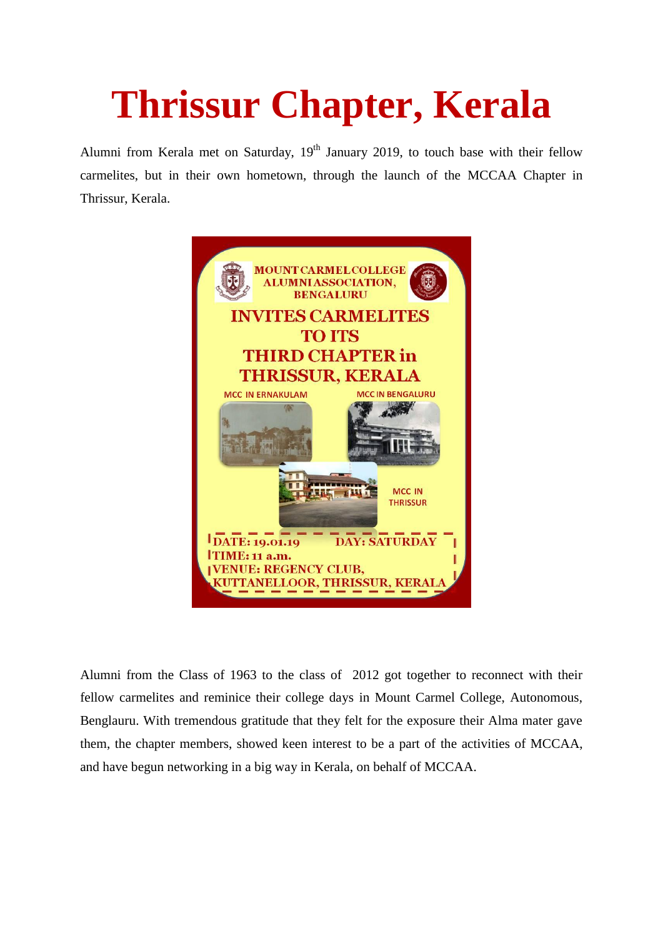## **Thrissur Chapter, Kerala**

Alumni from Kerala met on Saturday,  $19<sup>th</sup>$  January 2019, to touch base with their fellow carmelites, but in their own hometown, through the launch of the MCCAA Chapter in Thrissur, Kerala.



Alumni from the Class of 1963 to the class of 2012 got together to reconnect with their fellow carmelites and reminice their college days in Mount Carmel College, Autonomous, Benglauru. With tremendous gratitude that they felt for the exposure their Alma mater gave them, the chapter members, showed keen interest to be a part of the activities of MCCAA, and have begun networking in a big way in Kerala, on behalf of MCCAA.